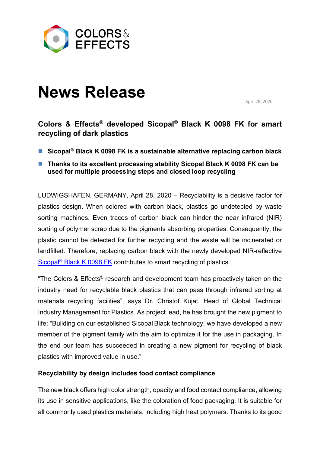

# **News Release**

April 28, 2020

# **Colors & Effects® developed Sicopal® Black K 0098 FK for smart recycling of dark plastics**

- Sicopal<sup>®</sup> Black K 0098 FK is a sustainable alternative replacing carbon black
- Thanks to its excellent processing stability Sicopal Black K 0098 FK can be **used for multiple processing steps and closed loop recycling**

LUDWIGSHAFEN, GERMANY, April 28, 2020 – Recyclability is a decisive factor for plastics design. When colored with carbon black, plastics go undetected by waste sorting machines. Even traces of carbon black can hinder the near infrared (NIR) sorting of polymer scrap due to the pigments absorbing properties. Consequently, the plastic cannot be detected for further recycling and the waste will be incinerated or landfilled. Therefore, replacing carbon black with the newly developed NIR-reflective Sicopal® [Black K 0098 FK](https://www.colors-effects.eu/products/1015/sicopal-black-k-0098-fk) contributes to smart recycling of plastics.

"The Colors & Effects® research and development team has proactively taken on the industry need for recyclable black plastics that can pass through infrared sorting at materials recycling facilities", says Dr. Christof Kujat, Head of Global Technical Industry Management for Plastics. As project lead, he has brought the new pigment to life: "Building on our established Sicopal Black technology, we have developed a new member of the pigment family with the aim to optimize it for the use in packaging. In the end our team has succeeded in creating a new pigment for recycling of black plastics with improved value in use."

## **Recyclability by design includes food contact compliance**

The new black offers high color strength, opacity and food contact compliance, allowing its use in sensitive applications, like the coloration of food packaging. It is suitable for all commonly used plastics materials, including high heat polymers. Thanks to its good